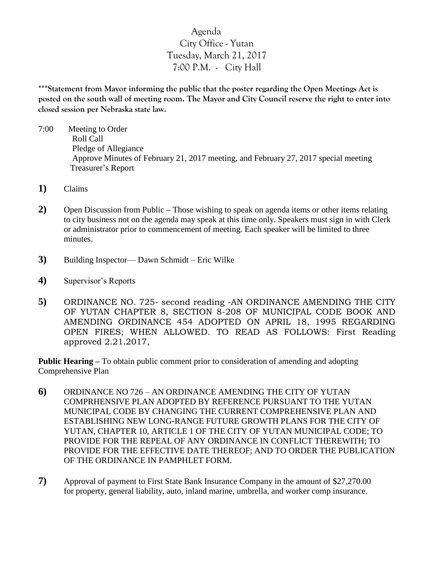## Agenda City Office - Yutan Tuesday, March 21, 2017 7:00 P.M. - City Hall

**\*\*\*Statement from Mayor informing the public that the poster regarding the Open Meetings Act is posted on the south wall of meeting room. The Mayor and City Council reserve the right to enter into closed session per Nebraska state law.**

- 7:00 Meeting to Order Roll Call Pledge of Allegiance Approve Minutes of February 21, 2017 meeting, and February 27, 2017 special meeting Treasurer's Report
- **1)** Claims
- **2)** Open Discussion from Public **–** Those wishing to speak on agenda items or other items relating to city business not on the agenda may speak at this time only. Speakers must sign in with Clerk or administrator prior to commencement of meeting. Each speaker will be limited to three minutes.
- **3)** Building Inspector— Dawn Schmidt Eric Wilke
- **4)** Supervisor's Reports
- **5)** ORDINANCE NO. 725- second reading -AN ORDINANCE AMENDING THE CITY OF YUTAN CHAPTER 8, SECTION 8-208 OF MUNICIPAL CODE BOOK AND AMENDING ORDINANCE 454 ADOPTED ON APRIL 18, 1995 REGARDING OPEN FIRES; WHEN ALLOWED. TO READ AS FOLLOWS: First Reading approved 2.21.2017,

**Public Hearing –** To obtain public comment prior to consideration of amending and adopting Comprehensive Plan

- **6)** ORDINANCE NO 726 AN ORDINANCE AMENDING THE CITY OF YUTAN COMPRHENSIVE PLAN ADOPTED BY REFERENCE PURSUANT TO THE YUTAN MUNICIPAL CODE BY CHANGING THE CURRENT COMPREHENSIVE PLAN AND ESTABLISHING NEW LONG-RANGE FUTURE GROWTH PLANS FOR THE CITY OF YUTAN, CHAPTER 10, ARTICLE 1 OF THE CITY OF YUTAN MUNICIPAL CODE; TO PROVIDE FOR THE REPEAL OF ANY ORDINANCE IN CONFLICT THEREWITH; TO PROVIDE FOR THE EFFECTIVE DATE THEREOF; AND TO ORDER THE PUBLICATION OF THE ORDINANCE IN PAMPHLET FORM.
- **7)** Approval of payment to First State Bank Insurance Company in the amount of \$27,270.00 for property, general liability, auto, inland marine, umbrella, and worker comp insurance.